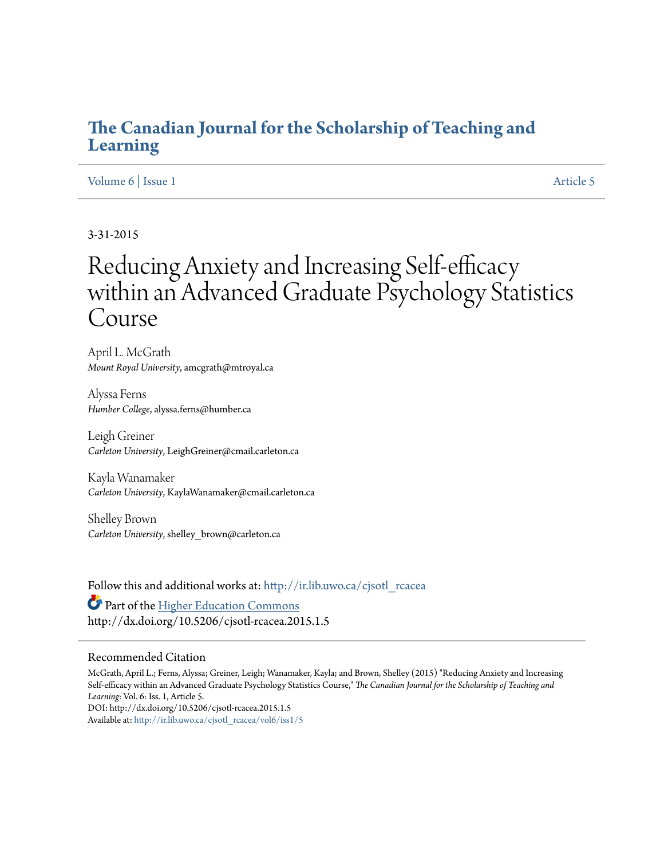## **[The Canadian Journal for the Scholarship of Teaching and](http://ir.lib.uwo.ca/cjsotl_rcacea?utm_source=ir.lib.uwo.ca%2Fcjsotl_rcacea%2Fvol6%2Fiss1%2F5&utm_medium=PDF&utm_campaign=PDFCoverPages) [Learning](http://ir.lib.uwo.ca/cjsotl_rcacea?utm_source=ir.lib.uwo.ca%2Fcjsotl_rcacea%2Fvol6%2Fiss1%2F5&utm_medium=PDF&utm_campaign=PDFCoverPages)**

#### [Volume 6](http://ir.lib.uwo.ca/cjsotl_rcacea/vol6?utm_source=ir.lib.uwo.ca%2Fcjsotl_rcacea%2Fvol6%2Fiss1%2F5&utm_medium=PDF&utm_campaign=PDFCoverPages) | [Issue 1](http://ir.lib.uwo.ca/cjsotl_rcacea/vol6/iss1?utm_source=ir.lib.uwo.ca%2Fcjsotl_rcacea%2Fvol6%2Fiss1%2F5&utm_medium=PDF&utm_campaign=PDFCoverPages) [Article 5](http://ir.lib.uwo.ca/cjsotl_rcacea/vol6/iss1/5?utm_source=ir.lib.uwo.ca%2Fcjsotl_rcacea%2Fvol6%2Fiss1%2F5&utm_medium=PDF&utm_campaign=PDFCoverPages)

### 3-31-2015

# Reducing Anxiety and Increasing Self-efficacy within an Advanced Graduate Psychology Statistics Course

April L. McGrath *Mount Royal University*, amcgrath@mtroyal.ca

Alyssa Ferns *Humber College*, alyssa.ferns@humber.ca

Leigh Greiner *Carleton University*, LeighGreiner@cmail.carleton.ca

Kayla Wanamaker *Carleton University*, KaylaWanamaker@cmail.carleton.ca

Shelley Brown *Carleton University*, shelley\_brown@carleton.ca

Follow this and additional works at: [http://ir.lib.uwo.ca/cjsotl\\_rcacea](http://ir.lib.uwo.ca/cjsotl_rcacea?utm_source=ir.lib.uwo.ca%2Fcjsotl_rcacea%2Fvol6%2Fiss1%2F5&utm_medium=PDF&utm_campaign=PDFCoverPages) Part of the [Higher Education Commons](http://network.bepress.com/hgg/discipline/1245?utm_source=ir.lib.uwo.ca%2Fcjsotl_rcacea%2Fvol6%2Fiss1%2F5&utm_medium=PDF&utm_campaign=PDFCoverPages) http://dx.doi.org/10.5206/cjsotl-rcacea.2015.1.5

#### Recommended Citation

McGrath, April L.; Ferns, Alyssa; Greiner, Leigh; Wanamaker, Kayla; and Brown, Shelley (2015) "Reducing Anxiety and Increasing Self-efficacy within an Advanced Graduate Psychology Statistics Course," *The Canadian Journal for the Scholarship of Teaching and Learning*: Vol. 6: Iss. 1, Article 5. DOI: http://dx.doi.org/10.5206/cjsotl-rcacea.2015.1.5 Available at: [http://ir.lib.uwo.ca/cjsotl\\_rcacea/vol6/iss1/5](http://ir.lib.uwo.ca/cjsotl_rcacea/vol6/iss1/5?utm_source=ir.lib.uwo.ca%2Fcjsotl_rcacea%2Fvol6%2Fiss1%2F5&utm_medium=PDF&utm_campaign=PDFCoverPages)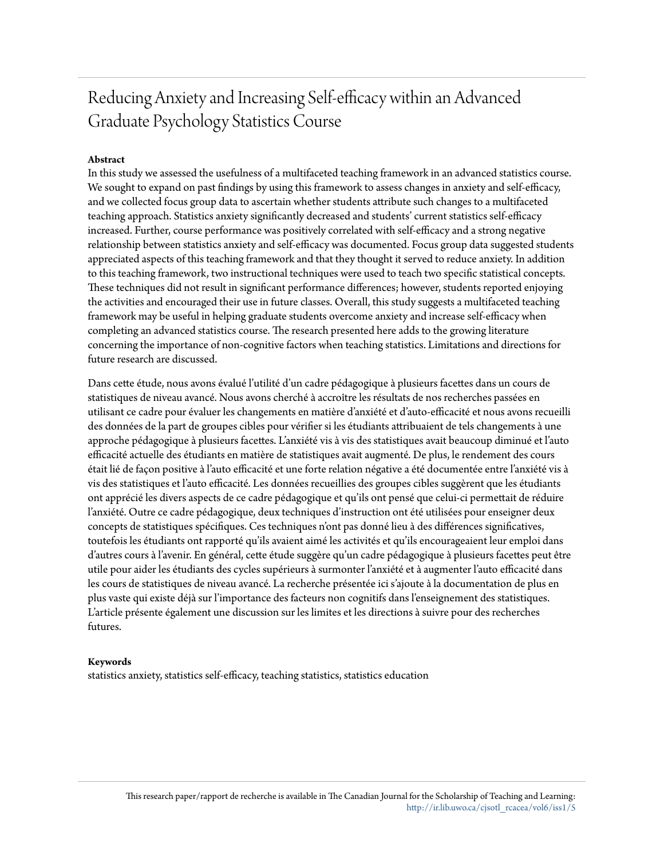## Reducing Anxiety and Increasing Self-efficacy within an Advanced Graduate Psychology Statistics Course

#### **Abstract**

In this study we assessed the usefulness of a multifaceted teaching framework in an advanced statistics course. We sought to expand on past findings by using this framework to assess changes in anxiety and self-efficacy, and we collected focus group data to ascertain whether students attribute such changes to a multifaceted teaching approach. Statistics anxiety significantly decreased and students' current statistics self-efficacy increased. Further, course performance was positively correlated with self-efficacy and a strong negative relationship between statistics anxiety and self-efficacy was documented. Focus group data suggested students appreciated aspects of this teaching framework and that they thought it served to reduce anxiety. In addition to this teaching framework, two instructional techniques were used to teach two specific statistical concepts. These techniques did not result in significant performance differences; however, students reported enjoying the activities and encouraged their use in future classes. Overall, this study suggests a multifaceted teaching framework may be useful in helping graduate students overcome anxiety and increase self-efficacy when completing an advanced statistics course. The research presented here adds to the growing literature concerning the importance of non-cognitive factors when teaching statistics. Limitations and directions for future research are discussed.

Dans cette étude, nous avons évalué l'utilité d'un cadre pédagogique à plusieurs facettes dans un cours de statistiques de niveau avancé. Nous avons cherché à accroître les résultats de nos recherches passées en utilisant ce cadre pour évaluer les changements en matière d'anxiété et d'auto-efficacité et nous avons recueilli des données de la part de groupes cibles pour vérifier si les étudiants attribuaient de tels changements à une approche pédagogique à plusieurs facettes. L'anxiété vis à vis des statistiques avait beaucoup diminué et l'auto efficacité actuelle des étudiants en matière de statistiques avait augmenté. De plus, le rendement des cours était lié de façon positive à l'auto efficacité et une forte relation négative a été documentée entre l'anxiété vis à vis des statistiques et l'auto efficacité. Les données recueillies des groupes cibles suggèrent que les étudiants ont apprécié les divers aspects de ce cadre pédagogique et qu'ils ont pensé que celui-ci permettait de réduire l'anxiété. Outre ce cadre pédagogique, deux techniques d'instruction ont été utilisées pour enseigner deux concepts de statistiques spécifiques. Ces techniques n'ont pas donné lieu à des différences significatives, toutefois les étudiants ont rapporté qu'ils avaient aimé les activités et qu'ils encourageaient leur emploi dans d'autres cours à l'avenir. En général, cette étude suggère qu'un cadre pédagogique à plusieurs facettes peut être utile pour aider les étudiants des cycles supérieurs à surmonter l'anxiété et à augmenter l'auto efficacité dans les cours de statistiques de niveau avancé. La recherche présentée ici s'ajoute à la documentation de plus en plus vaste qui existe déjà sur l'importance des facteurs non cognitifs dans l'enseignement des statistiques. L'article présente également une discussion sur les limites et les directions à suivre pour des recherches futures.

#### **Keywords**

statistics anxiety, statistics self-efficacy, teaching statistics, statistics education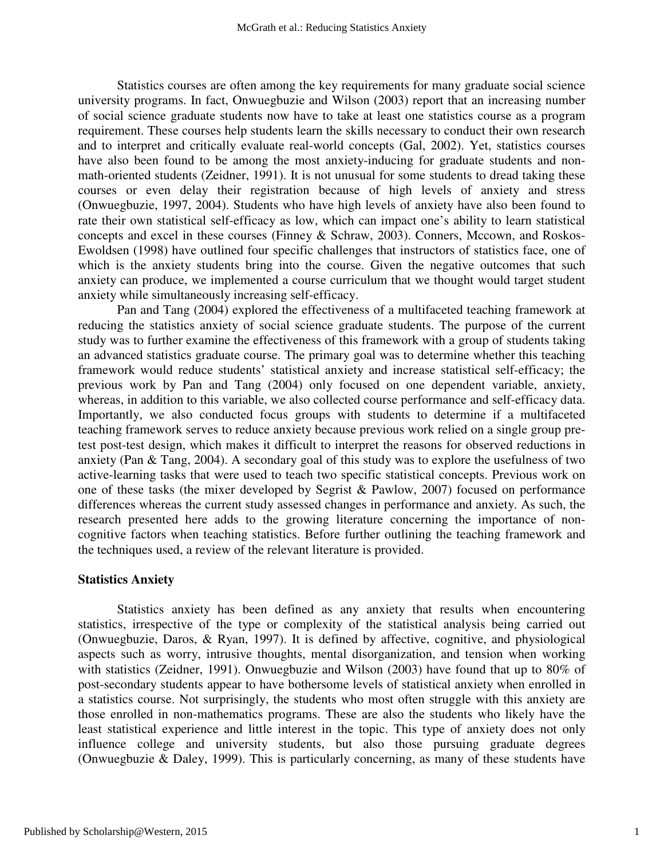Statistics courses are often among the key requirements for many graduate social science university programs. In fact, Onwuegbuzie and Wilson (2003) report that an increasing number of social science graduate students now have to take at least one statistics course as a program requirement. These courses help students learn the skills necessary to conduct their own research and to interpret and critically evaluate real-world concepts (Gal, 2002). Yet, statistics courses have also been found to be among the most anxiety-inducing for graduate students and nonmath-oriented students (Zeidner, 1991). It is not unusual for some students to dread taking these courses or even delay their registration because of high levels of anxiety and stress (Onwuegbuzie, 1997, 2004). Students who have high levels of anxiety have also been found to rate their own statistical self-efficacy as low, which can impact one's ability to learn statistical concepts and excel in these courses (Finney & Schraw, 2003). Conners, Mccown, and Roskos-Ewoldsen (1998) have outlined four specific challenges that instructors of statistics face, one of which is the anxiety students bring into the course. Given the negative outcomes that such anxiety can produce, we implemented a course curriculum that we thought would target student anxiety while simultaneously increasing self-efficacy.

Pan and Tang (2004) explored the effectiveness of a multifaceted teaching framework at reducing the statistics anxiety of social science graduate students. The purpose of the current study was to further examine the effectiveness of this framework with a group of students taking an advanced statistics graduate course. The primary goal was to determine whether this teaching framework would reduce students' statistical anxiety and increase statistical self-efficacy; the previous work by Pan and Tang (2004) only focused on one dependent variable, anxiety, whereas, in addition to this variable, we also collected course performance and self-efficacy data. Importantly, we also conducted focus groups with students to determine if a multifaceted teaching framework serves to reduce anxiety because previous work relied on a single group pretest post-test design, which makes it difficult to interpret the reasons for observed reductions in anxiety (Pan & Tang, 2004). A secondary goal of this study was to explore the usefulness of two active-learning tasks that were used to teach two specific statistical concepts. Previous work on one of these tasks (the mixer developed by Segrist & Pawlow, 2007) focused on performance differences whereas the current study assessed changes in performance and anxiety. As such, the research presented here adds to the growing literature concerning the importance of noncognitive factors when teaching statistics. Before further outlining the teaching framework and the techniques used, a review of the relevant literature is provided.

#### **Statistics Anxiety**

Statistics anxiety has been defined as any anxiety that results when encountering statistics, irrespective of the type or complexity of the statistical analysis being carried out (Onwuegbuzie, Daros, & Ryan, 1997). It is defined by affective, cognitive, and physiological aspects such as worry, intrusive thoughts, mental disorganization, and tension when working with statistics (Zeidner, 1991). Onwuegbuzie and Wilson (2003) have found that up to 80% of post-secondary students appear to have bothersome levels of statistical anxiety when enrolled in a statistics course. Not surprisingly, the students who most often struggle with this anxiety are those enrolled in non-mathematics programs. These are also the students who likely have the least statistical experience and little interest in the topic. This type of anxiety does not only influence college and university students, but also those pursuing graduate degrees (Onwuegbuzie  $\&$  Daley, 1999). This is particularly concerning, as many of these students have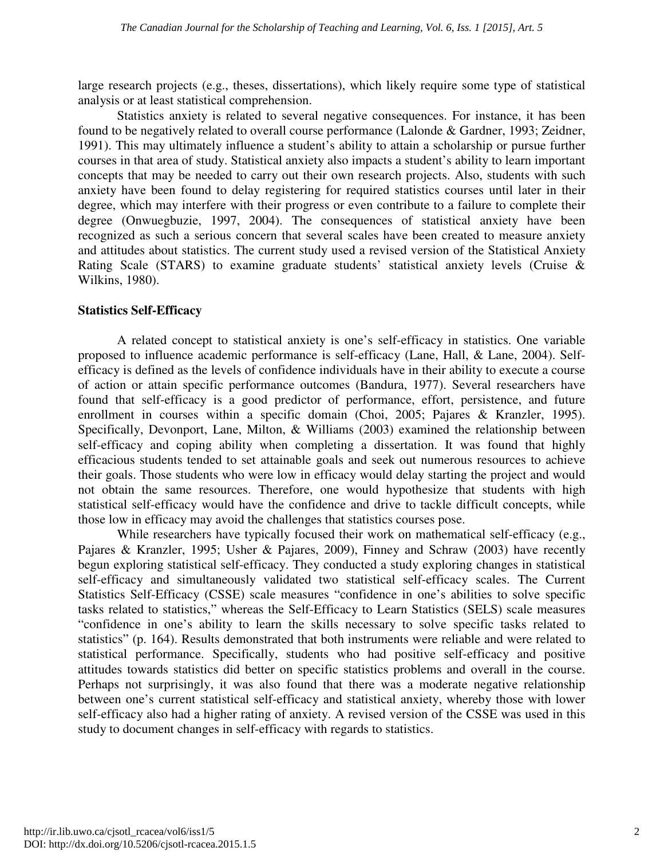large research projects (e.g., theses, dissertations), which likely require some type of statistical analysis or at least statistical comprehension.

Statistics anxiety is related to several negative consequences. For instance, it has been found to be negatively related to overall course performance (Lalonde & Gardner, 1993; Zeidner, 1991). This may ultimately influence a student's ability to attain a scholarship or pursue further courses in that area of study. Statistical anxiety also impacts a student's ability to learn important concepts that may be needed to carry out their own research projects. Also, students with such anxiety have been found to delay registering for required statistics courses until later in their degree, which may interfere with their progress or even contribute to a failure to complete their degree (Onwuegbuzie, 1997, 2004). The consequences of statistical anxiety have been recognized as such a serious concern that several scales have been created to measure anxiety and attitudes about statistics. The current study used a revised version of the Statistical Anxiety Rating Scale (STARS) to examine graduate students' statistical anxiety levels (Cruise & Wilkins, 1980).

### **Statistics Self-Efficacy**

A related concept to statistical anxiety is one's self-efficacy in statistics. One variable proposed to influence academic performance is self-efficacy (Lane, Hall, & Lane, 2004). Selfefficacy is defined as the levels of confidence individuals have in their ability to execute a course of action or attain specific performance outcomes (Bandura, 1977). Several researchers have found that self-efficacy is a good predictor of performance, effort, persistence, and future enrollment in courses within a specific domain (Choi, 2005; Pajares & Kranzler, 1995). Specifically, Devonport, Lane, Milton, & Williams (2003) examined the relationship between self-efficacy and coping ability when completing a dissertation. It was found that highly efficacious students tended to set attainable goals and seek out numerous resources to achieve their goals. Those students who were low in efficacy would delay starting the project and would not obtain the same resources. Therefore, one would hypothesize that students with high statistical self-efficacy would have the confidence and drive to tackle difficult concepts, while those low in efficacy may avoid the challenges that statistics courses pose.

While researchers have typically focused their work on mathematical self-efficacy (e.g., Pajares & Kranzler, 1995; Usher & Pajares, 2009), Finney and Schraw (2003) have recently begun exploring statistical self-efficacy. They conducted a study exploring changes in statistical self-efficacy and simultaneously validated two statistical self-efficacy scales. The Current Statistics Self-Efficacy (CSSE) scale measures "confidence in one's abilities to solve specific tasks related to statistics," whereas the Self-Efficacy to Learn Statistics (SELS) scale measures "confidence in one's ability to learn the skills necessary to solve specific tasks related to statistics" (p. 164). Results demonstrated that both instruments were reliable and were related to statistical performance. Specifically, students who had positive self-efficacy and positive attitudes towards statistics did better on specific statistics problems and overall in the course. Perhaps not surprisingly, it was also found that there was a moderate negative relationship between one's current statistical self-efficacy and statistical anxiety, whereby those with lower self-efficacy also had a higher rating of anxiety. A revised version of the CSSE was used in this study to document changes in self-efficacy with regards to statistics.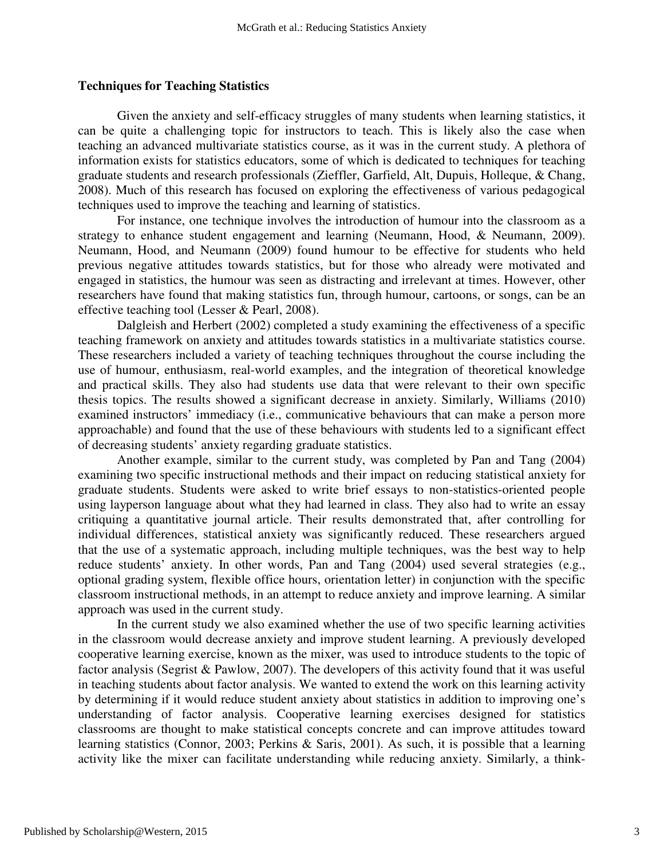#### **Techniques for Teaching Statistics**

Given the anxiety and self-efficacy struggles of many students when learning statistics, it can be quite a challenging topic for instructors to teach. This is likely also the case when teaching an advanced multivariate statistics course, as it was in the current study. A plethora of information exists for statistics educators, some of which is dedicated to techniques for teaching graduate students and research professionals (Zieffler, Garfield, Alt, Dupuis, Holleque, & Chang, 2008). Much of this research has focused on exploring the effectiveness of various pedagogical techniques used to improve the teaching and learning of statistics.

For instance, one technique involves the introduction of humour into the classroom as a strategy to enhance student engagement and learning (Neumann, Hood, & Neumann, 2009). Neumann, Hood, and Neumann (2009) found humour to be effective for students who held previous negative attitudes towards statistics, but for those who already were motivated and engaged in statistics, the humour was seen as distracting and irrelevant at times. However, other researchers have found that making statistics fun, through humour, cartoons, or songs, can be an effective teaching tool (Lesser & Pearl, 2008).

Dalgleish and Herbert (2002) completed a study examining the effectiveness of a specific teaching framework on anxiety and attitudes towards statistics in a multivariate statistics course. These researchers included a variety of teaching techniques throughout the course including the use of humour, enthusiasm, real-world examples, and the integration of theoretical knowledge and practical skills. They also had students use data that were relevant to their own specific thesis topics. The results showed a significant decrease in anxiety. Similarly, Williams (2010) examined instructors' immediacy (i.e., communicative behaviours that can make a person more approachable) and found that the use of these behaviours with students led to a significant effect of decreasing students' anxiety regarding graduate statistics.

Another example, similar to the current study, was completed by Pan and Tang (2004) examining two specific instructional methods and their impact on reducing statistical anxiety for graduate students. Students were asked to write brief essays to non-statistics-oriented people using layperson language about what they had learned in class. They also had to write an essay critiquing a quantitative journal article. Their results demonstrated that, after controlling for individual differences, statistical anxiety was significantly reduced. These researchers argued that the use of a systematic approach, including multiple techniques, was the best way to help reduce students' anxiety. In other words, Pan and Tang (2004) used several strategies (e.g., optional grading system, flexible office hours, orientation letter) in conjunction with the specific classroom instructional methods, in an attempt to reduce anxiety and improve learning. A similar approach was used in the current study.

In the current study we also examined whether the use of two specific learning activities in the classroom would decrease anxiety and improve student learning. A previously developed cooperative learning exercise, known as the mixer, was used to introduce students to the topic of factor analysis (Segrist & Pawlow, 2007). The developers of this activity found that it was useful in teaching students about factor analysis. We wanted to extend the work on this learning activity by determining if it would reduce student anxiety about statistics in addition to improving one's understanding of factor analysis. Cooperative learning exercises designed for statistics classrooms are thought to make statistical concepts concrete and can improve attitudes toward learning statistics (Connor, 2003; Perkins & Saris, 2001). As such, it is possible that a learning activity like the mixer can facilitate understanding while reducing anxiety. Similarly, a think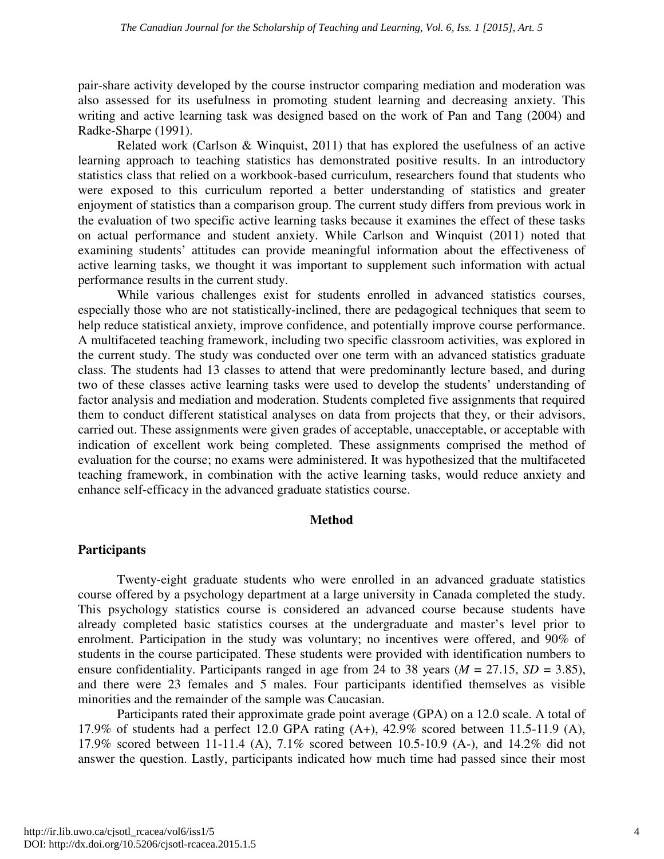pair-share activity developed by the course instructor comparing mediation and moderation was also assessed for its usefulness in promoting student learning and decreasing anxiety. This writing and active learning task was designed based on the work of Pan and Tang (2004) and Radke-Sharpe (1991).

Related work (Carlson & Winquist, 2011) that has explored the usefulness of an active learning approach to teaching statistics has demonstrated positive results. In an introductory statistics class that relied on a workbook-based curriculum, researchers found that students who were exposed to this curriculum reported a better understanding of statistics and greater enjoyment of statistics than a comparison group. The current study differs from previous work in the evaluation of two specific active learning tasks because it examines the effect of these tasks on actual performance and student anxiety. While Carlson and Winquist (2011) noted that examining students' attitudes can provide meaningful information about the effectiveness of active learning tasks, we thought it was important to supplement such information with actual performance results in the current study.

While various challenges exist for students enrolled in advanced statistics courses, especially those who are not statistically-inclined, there are pedagogical techniques that seem to help reduce statistical anxiety, improve confidence, and potentially improve course performance. A multifaceted teaching framework, including two specific classroom activities, was explored in the current study. The study was conducted over one term with an advanced statistics graduate class. The students had 13 classes to attend that were predominantly lecture based, and during two of these classes active learning tasks were used to develop the students' understanding of factor analysis and mediation and moderation. Students completed five assignments that required them to conduct different statistical analyses on data from projects that they, or their advisors, carried out. These assignments were given grades of acceptable, unacceptable, or acceptable with indication of excellent work being completed. These assignments comprised the method of evaluation for the course; no exams were administered. It was hypothesized that the multifaceted teaching framework, in combination with the active learning tasks, would reduce anxiety and enhance self-efficacy in the advanced graduate statistics course.

### **Method**

### **Participants**

Twenty-eight graduate students who were enrolled in an advanced graduate statistics course offered by a psychology department at a large university in Canada completed the study. This psychology statistics course is considered an advanced course because students have already completed basic statistics courses at the undergraduate and master's level prior to enrolment. Participation in the study was voluntary; no incentives were offered, and 90% of students in the course participated. These students were provided with identification numbers to ensure confidentiality. Participants ranged in age from 24 to 38 years ( $M = 27.15$ ,  $SD = 3.85$ ), and there were 23 females and 5 males. Four participants identified themselves as visible minorities and the remainder of the sample was Caucasian.

Participants rated their approximate grade point average (GPA) on a 12.0 scale. A total of 17.9% of students had a perfect 12.0 GPA rating (A+), 42.9% scored between 11.5-11.9 (A), 17.9% scored between 11-11.4 (A), 7.1% scored between 10.5-10.9 (A-), and 14.2% did not answer the question. Lastly, participants indicated how much time had passed since their most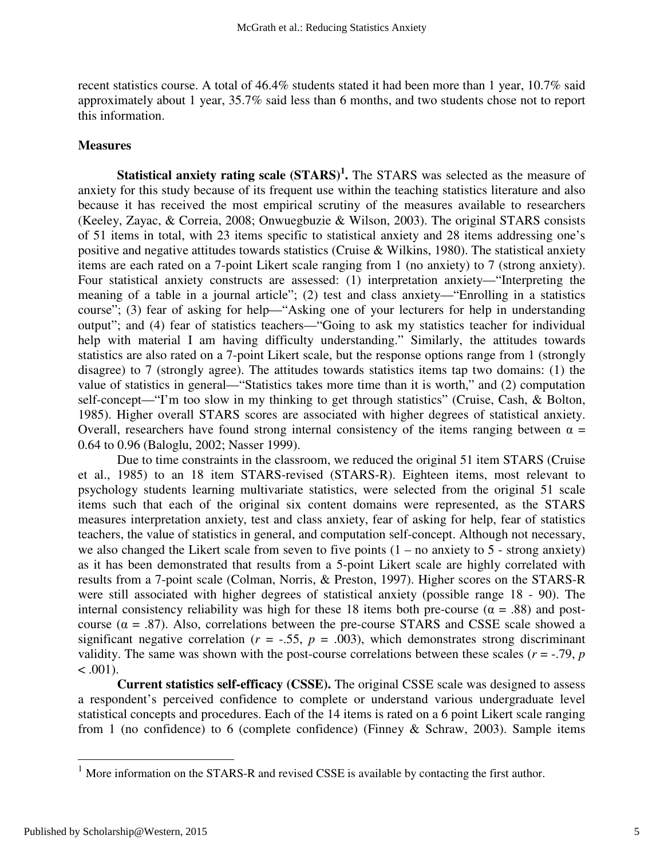recent statistics course. A total of 46.4% students stated it had been more than 1 year, 10.7% said approximately about 1 year, 35.7% said less than 6 months, and two students chose not to report this information.

#### **Measures**

**Statistical anxiety rating scale (STARS)<sup>1</sup> .** The STARS was selected as the measure of anxiety for this study because of its frequent use within the teaching statistics literature and also because it has received the most empirical scrutiny of the measures available to researchers (Keeley, Zayac, & Correia, 2008; Onwuegbuzie & Wilson, 2003). The original STARS consists of 51 items in total, with 23 items specific to statistical anxiety and 28 items addressing one's positive and negative attitudes towards statistics (Cruise & Wilkins, 1980). The statistical anxiety items are each rated on a 7-point Likert scale ranging from 1 (no anxiety) to 7 (strong anxiety). Four statistical anxiety constructs are assessed: (1) interpretation anxiety—"Interpreting the meaning of a table in a journal article"; (2) test and class anxiety—"Enrolling in a statistics course"; (3) fear of asking for help—"Asking one of your lecturers for help in understanding output"; and (4) fear of statistics teachers—"Going to ask my statistics teacher for individual help with material I am having difficulty understanding." Similarly, the attitudes towards statistics are also rated on a 7-point Likert scale, but the response options range from 1 (strongly disagree) to 7 (strongly agree). The attitudes towards statistics items tap two domains: (1) the value of statistics in general—"Statistics takes more time than it is worth," and (2) computation self-concept—"I'm too slow in my thinking to get through statistics" (Cruise, Cash, & Bolton, 1985). Higher overall STARS scores are associated with higher degrees of statistical anxiety. Overall, researchers have found strong internal consistency of the items ranging between  $α =$ 0.64 to 0.96 (Baloglu, 2002; Nasser 1999).

Due to time constraints in the classroom, we reduced the original 51 item STARS (Cruise et al., 1985) to an 18 item STARS-revised (STARS-R). Eighteen items, most relevant to psychology students learning multivariate statistics, were selected from the original 51 scale items such that each of the original six content domains were represented, as the STARS measures interpretation anxiety, test and class anxiety, fear of asking for help, fear of statistics teachers, the value of statistics in general, and computation self-concept. Although not necessary, we also changed the Likert scale from seven to five points  $(1 - no$  anxiety to  $5 - strong$  anxiety) as it has been demonstrated that results from a 5-point Likert scale are highly correlated with results from a 7-point scale (Colman, Norris, & Preston, 1997). Higher scores on the STARS-R were still associated with higher degrees of statistical anxiety (possible range 18 - 90). The internal consistency reliability was high for these 18 items both pre-course ( $\alpha = .88$ ) and postcourse ( $\alpha$  = .87). Also, correlations between the pre-course STARS and CSSE scale showed a significant negative correlation ( $r = -.55$ ,  $p = .003$ ), which demonstrates strong discriminant validity. The same was shown with the post-course correlations between these scales  $(r = -0.79, p = 0.79)$  $< .001$ ).

**Current statistics self-efficacy (CSSE).** The original CSSE scale was designed to assess a respondent's perceived confidence to complete or understand various undergraduate level statistical concepts and procedures. Each of the 14 items is rated on a 6 point Likert scale ranging from 1 (no confidence) to 6 (complete confidence) (Finney & Schraw, 2003). Sample items

<u>.</u>

<sup>&</sup>lt;sup>1</sup> More information on the STARS-R and revised CSSE is available by contacting the first author.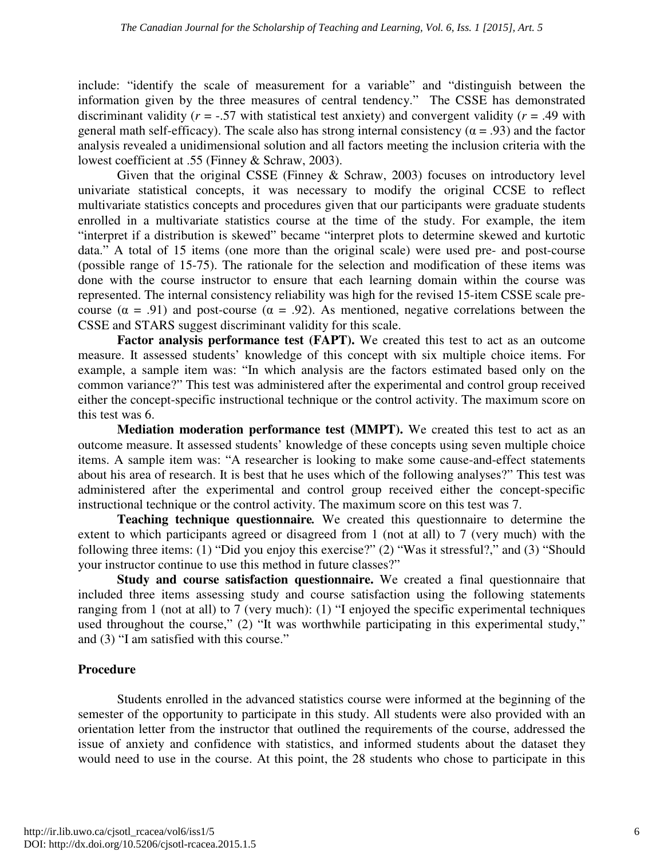include: "identify the scale of measurement for a variable" and "distinguish between the information given by the three measures of central tendency." The CSSE has demonstrated discriminant validity ( $r = -.57$  with statistical test anxiety) and convergent validity ( $r = .49$  with general math self-efficacy). The scale also has strong internal consistency ( $\alpha$  = .93) and the factor analysis revealed a unidimensional solution and all factors meeting the inclusion criteria with the lowest coefficient at .55 (Finney & Schraw, 2003).

Given that the original CSSE (Finney & Schraw, 2003) focuses on introductory level univariate statistical concepts, it was necessary to modify the original CCSE to reflect multivariate statistics concepts and procedures given that our participants were graduate students enrolled in a multivariate statistics course at the time of the study. For example, the item "interpret if a distribution is skewed" became "interpret plots to determine skewed and kurtotic data." A total of 15 items (one more than the original scale) were used pre- and post-course (possible range of 15-75). The rationale for the selection and modification of these items was done with the course instructor to ensure that each learning domain within the course was represented. The internal consistency reliability was high for the revised 15-item CSSE scale precourse ( $\alpha$  = .91) and post-course ( $\alpha$  = .92). As mentioned, negative correlations between the CSSE and STARS suggest discriminant validity for this scale.

**Factor analysis performance test (FAPT).** We created this test to act as an outcome measure. It assessed students' knowledge of this concept with six multiple choice items. For example, a sample item was: "In which analysis are the factors estimated based only on the common variance?" This test was administered after the experimental and control group received either the concept-specific instructional technique or the control activity. The maximum score on this test was 6.

**Mediation moderation performance test (MMPT).** We created this test to act as an outcome measure. It assessed students' knowledge of these concepts using seven multiple choice items. A sample item was: "A researcher is looking to make some cause-and-effect statements about his area of research. It is best that he uses which of the following analyses?" This test was administered after the experimental and control group received either the concept-specific instructional technique or the control activity. The maximum score on this test was 7.

**Teaching technique questionnaire***.* We created this questionnaire to determine the extent to which participants agreed or disagreed from 1 (not at all) to 7 (very much) with the following three items: (1) "Did you enjoy this exercise?" (2) "Was it stressful?," and (3) "Should your instructor continue to use this method in future classes?"

**Study and course satisfaction questionnaire.** We created a final questionnaire that included three items assessing study and course satisfaction using the following statements ranging from 1 (not at all) to 7 (very much): (1) "I enjoyed the specific experimental techniques used throughout the course," (2) "It was worthwhile participating in this experimental study," and (3) "I am satisfied with this course."

### **Procedure**

Students enrolled in the advanced statistics course were informed at the beginning of the semester of the opportunity to participate in this study. All students were also provided with an orientation letter from the instructor that outlined the requirements of the course, addressed the issue of anxiety and confidence with statistics, and informed students about the dataset they would need to use in the course. At this point, the 28 students who chose to participate in this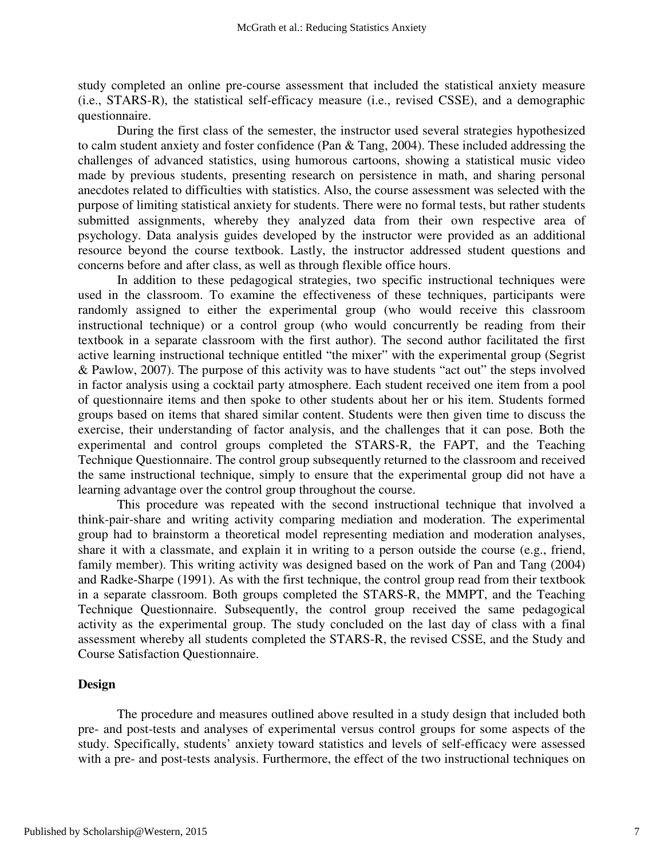study completed an online pre-course assessment that included the statistical anxiety measure (i.e., STARS-R), the statistical self-efficacy measure (i.e., revised CSSE), and a demographic questionnaire.

During the first class of the semester, the instructor used several strategies hypothesized to calm student anxiety and foster confidence (Pan & Tang, 2004). These included addressing the challenges of advanced statistics, using humorous cartoons, showing a statistical music video made by previous students, presenting research on persistence in math, and sharing personal anecdotes related to difficulties with statistics. Also, the course assessment was selected with the purpose of limiting statistical anxiety for students. There were no formal tests, but rather students submitted assignments, whereby they analyzed data from their own respective area of psychology. Data analysis guides developed by the instructor were provided as an additional resource beyond the course textbook. Lastly, the instructor addressed student questions and concerns before and after class, as well as through flexible office hours.

In addition to these pedagogical strategies, two specific instructional techniques were used in the classroom. To examine the effectiveness of these techniques, participants were randomly assigned to either the experimental group (who would receive this classroom instructional technique) or a control group (who would concurrently be reading from their textbook in a separate classroom with the first author). The second author facilitated the first active learning instructional technique entitled "the mixer" with the experimental group (Segrist & Pawlow, 2007). The purpose of this activity was to have students "act out" the steps involved in factor analysis using a cocktail party atmosphere. Each student received one item from a pool of questionnaire items and then spoke to other students about her or his item. Students formed groups based on items that shared similar content. Students were then given time to discuss the exercise, their understanding of factor analysis, and the challenges that it can pose. Both the experimental and control groups completed the STARS-R, the FAPT, and the Teaching Technique Questionnaire. The control group subsequently returned to the classroom and received the same instructional technique, simply to ensure that the experimental group did not have a learning advantage over the control group throughout the course.

This procedure was repeated with the second instructional technique that involved a think-pair-share and writing activity comparing mediation and moderation. The experimental group had to brainstorm a theoretical model representing mediation and moderation analyses, share it with a classmate, and explain it in writing to a person outside the course (e.g., friend, family member). This writing activity was designed based on the work of Pan and Tang (2004) and Radke-Sharpe (1991). As with the first technique, the control group read from their textbook in a separate classroom. Both groups completed the STARS-R, the MMPT, and the Teaching Technique Questionnaire. Subsequently, the control group received the same pedagogical activity as the experimental group. The study concluded on the last day of class with a final assessment whereby all students completed the STARS-R, the revised CSSE, and the Study and Course Satisfaction Questionnaire.

#### **Design**

The procedure and measures outlined above resulted in a study design that included both pre- and post-tests and analyses of experimental versus control groups for some aspects of the study. Specifically, students' anxiety toward statistics and levels of self-efficacy were assessed with a pre- and post-tests analysis. Furthermore, the effect of the two instructional techniques on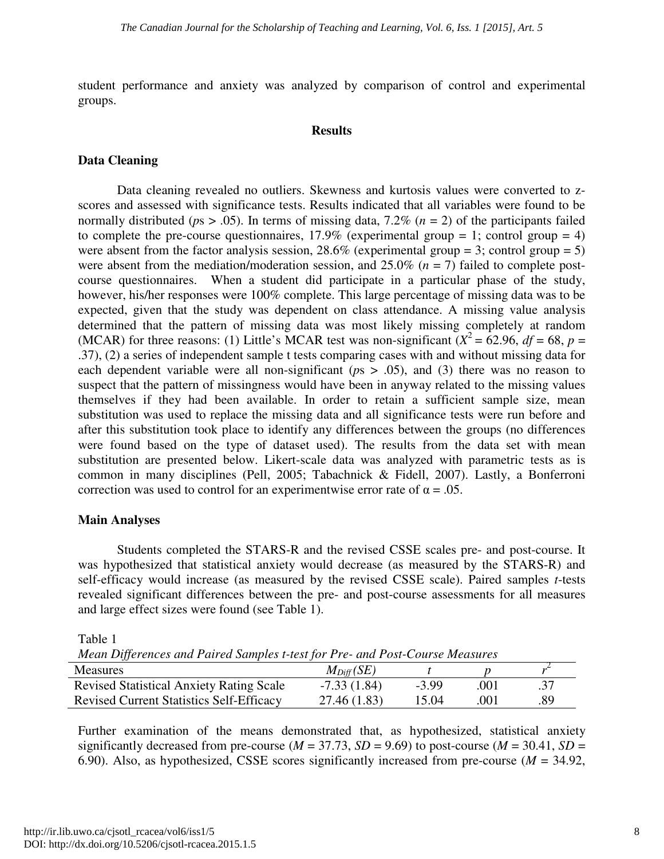student performance and anxiety was analyzed by comparison of control and experimental groups.

#### **Results**

## **Data Cleaning**

Data cleaning revealed no outliers. Skewness and kurtosis values were converted to zscores and assessed with significance tests. Results indicated that all variables were found to be normally distributed ( $ps > .05$ ). In terms of missing data, 7.2% ( $n = 2$ ) of the participants failed to complete the pre-course questionnaires,  $17.9\%$  (experimental group = 1; control group = 4) were absent from the factor analysis session,  $28.6\%$  (experimental group = 3; control group = 5) were absent from the mediation/moderation session, and  $25.0\%$  ( $n = 7$ ) failed to complete postcourse questionnaires. When a student did participate in a particular phase of the study, however, his/her responses were 100% complete. This large percentage of missing data was to be expected, given that the study was dependent on class attendance. A missing value analysis determined that the pattern of missing data was most likely missing completely at random (MCAR) for three reasons: (1) Little's MCAR test was non-significant  $(X^2 = 62.96, df = 68, p =$ .37), (2) a series of independent sample t tests comparing cases with and without missing data for each dependent variable were all non-significant (*p*s > .05), and (3) there was no reason to suspect that the pattern of missingness would have been in anyway related to the missing values themselves if they had been available. In order to retain a sufficient sample size, mean substitution was used to replace the missing data and all significance tests were run before and after this substitution took place to identify any differences between the groups (no differences were found based on the type of dataset used). The results from the data set with mean substitution are presented below. Likert-scale data was analyzed with parametric tests as is common in many disciplines (Pell, 2005; Tabachnick & Fidell, 2007). Lastly, a Bonferroni correction was used to control for an experimentwise error rate of  $\alpha = .05$ .

### **Main Analyses**

Students completed the STARS-R and the revised CSSE scales pre- and post-course. It was hypothesized that statistical anxiety would decrease (as measured by the STARS-R) and self-efficacy would increase (as measured by the revised CSSE scale). Paired samples *t*-tests revealed significant differences between the pre- and post-course assessments for all measures and large effect sizes were found (see Table 1).

Table 1

| Mean Differences and Paired Samples t-test for Pre- and Post-Course Measures |                |         |      |     |
|------------------------------------------------------------------------------|----------------|---------|------|-----|
| <b>Measures</b>                                                              | $M_{Diff}(SE)$ |         |      |     |
| <b>Revised Statistical Anxiety Rating Scale</b>                              | $-7.33(1.84)$  | $-3.99$ | .001 | .37 |
| <b>Revised Current Statistics Self-Efficacy</b>                              | 27.46 (1.83)   | 15.04   | .001 | .89 |

Further examination of the means demonstrated that, as hypothesized, statistical anxiety significantly decreased from pre-course ( $M = 37.73$ ,  $SD = 9.69$ ) to post-course ( $M = 30.41$ ,  $SD =$ 6.90). Also, as hypothesized, CSSE scores significantly increased from pre-course (*M* = 34.92,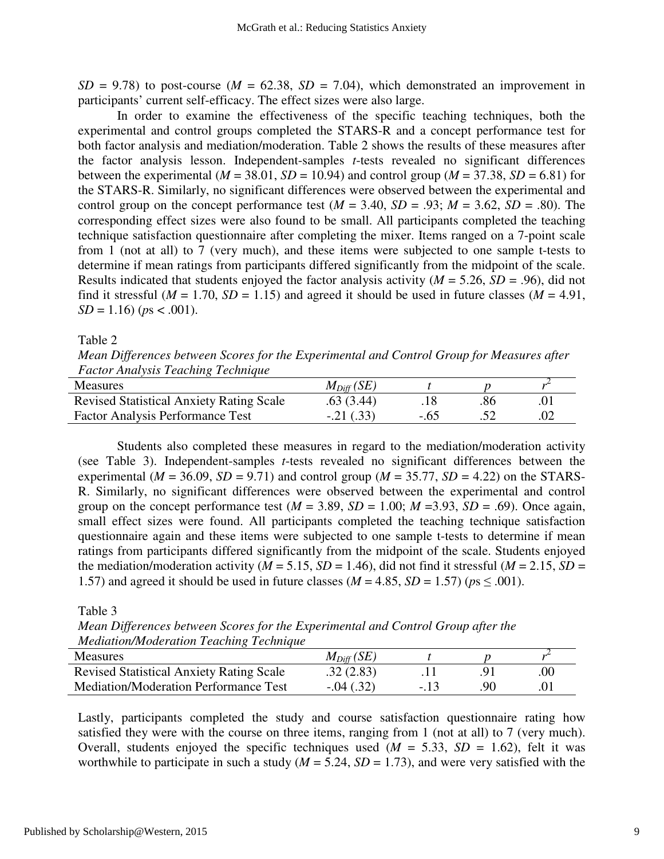$SD = 9.78$ ) to post-course ( $M = 62.38$ ,  $SD = 7.04$ ), which demonstrated an improvement in participants' current self-efficacy. The effect sizes were also large.

In order to examine the effectiveness of the specific teaching techniques, both the experimental and control groups completed the STARS-R and a concept performance test for both factor analysis and mediation/moderation. Table 2 shows the results of these measures after the factor analysis lesson. Independent-samples *t*-tests revealed no significant differences between the experimental ( $M = 38.01$ ,  $SD = 10.94$ ) and control group ( $M = 37.38$ ,  $SD = 6.81$ ) for the STARS-R. Similarly, no significant differences were observed between the experimental and control group on the concept performance test  $(M = 3.40, SD = .93; M = 3.62, SD = .80)$ . The corresponding effect sizes were also found to be small. All participants completed the teaching technique satisfaction questionnaire after completing the mixer. Items ranged on a 7-point scale from 1 (not at all) to 7 (very much), and these items were subjected to one sample t-tests to determine if mean ratings from participants differed significantly from the midpoint of the scale. Results indicated that students enjoyed the factor analysis activity  $(M = 5.26, SD = .96)$ , did not find it stressful ( $M = 1.70$ ,  $SD = 1.15$ ) and agreed it should be used in future classes ( $M = 4.91$ ,  $SD = 1.16$ ) ( $ps < .001$ ).

Table 2

*Mean Differences between Scores for the Experimental and Control Group for Measures after Factor Analysis Teaching Technique* 

| <b>Measures</b>                                 | $M_{Diff}(SE)$ |    |  |
|-------------------------------------------------|----------------|----|--|
| <b>Revised Statistical Anxiety Rating Scale</b> | .63(3.44)      | 86 |  |
| <b>Factor Analysis Performance Test</b>         | $-.21(.33)$    |    |  |

Students also completed these measures in regard to the mediation/moderation activity (see Table 3). Independent-samples *t*-tests revealed no significant differences between the experimental ( $M = 36.09$ ,  $SD = 9.71$ ) and control group ( $M = 35.77$ ,  $SD = 4.22$ ) on the STARS-R. Similarly, no significant differences were observed between the experimental and control group on the concept performance test  $(M = 3.89, SD = 1.00; M = 3.93, SD = .69)$ . Once again, small effect sizes were found. All participants completed the teaching technique satisfaction questionnaire again and these items were subjected to one sample t-tests to determine if mean ratings from participants differed significantly from the midpoint of the scale. Students enjoyed the mediation/moderation activity ( $M = 5.15$ ,  $SD = 1.46$ ), did not find it stressful ( $M = 2.15$ ,  $SD = 1.46$ ) 1.57) and agreed it should be used in future classes ( $M = 4.85$ ,  $SD = 1.57$ ) ( $ps \le .001$ ).

Table 3

*Mean Differences between Scores for the Experimental and Control Group after the Mediation/Moderation Teaching Technique* 

| <b>Measures</b>                                 | $M_{Diff}(SE)$ |    |     |
|-------------------------------------------------|----------------|----|-----|
| <b>Revised Statistical Anxiety Rating Scale</b> | .32(2.83)      |    | .00 |
| Mediation/Moderation Performance Test           | $-.04(.32)$    | 90 |     |

Lastly, participants completed the study and course satisfaction questionnaire rating how satisfied they were with the course on three items, ranging from 1 (not at all) to 7 (very much). Overall, students enjoyed the specific techniques used  $(M = 5.33, SD = 1.62)$ , felt it was worthwhile to participate in such a study  $(M = 5.24, SD = 1.73)$ , and were very satisfied with the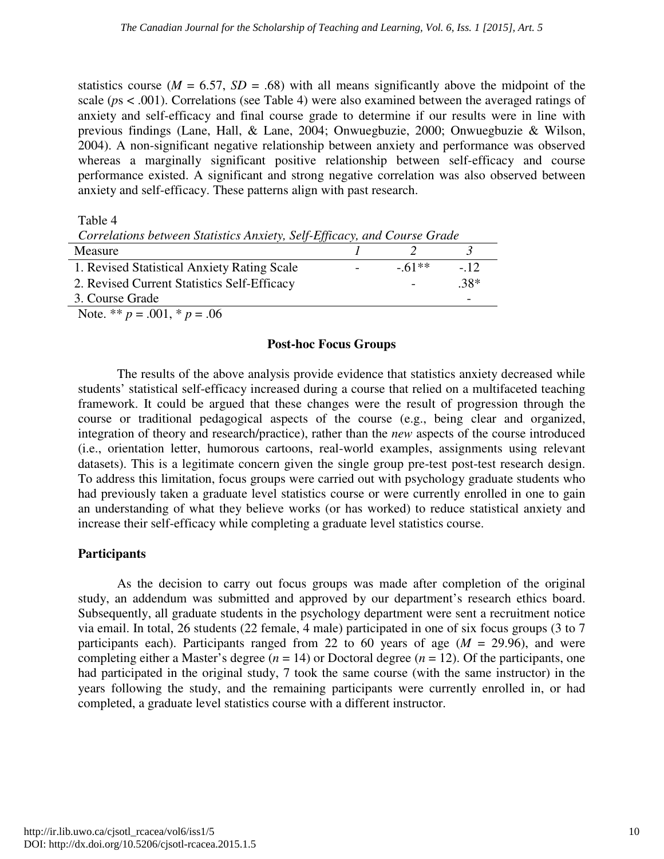statistics course ( $M = 6.57$ ,  $SD = .68$ ) with all means significantly above the midpoint of the scale (*p*s < .001). Correlations (see Table 4) were also examined between the averaged ratings of anxiety and self-efficacy and final course grade to determine if our results were in line with previous findings (Lane, Hall, & Lane, 2004; Onwuegbuzie, 2000; Onwuegbuzie & Wilson, 2004). A non-significant negative relationship between anxiety and performance was observed whereas a marginally significant positive relationship between self-efficacy and course performance existed. A significant and strong negative correlation was also observed between anxiety and self-efficacy. These patterns align with past research.

Table 4

| Correlations between Statistics Anxiety, Self-Efficacy, and Course Grade |            |                          |        |  |
|--------------------------------------------------------------------------|------------|--------------------------|--------|--|
| Measure                                                                  |            |                          |        |  |
| 1. Revised Statistical Anxiety Rating Scale                              | $\sim 100$ | $-61**$                  | $-12.$ |  |
| 2. Revised Current Statistics Self-Efficacy                              |            | $\overline{\phantom{a}}$ | $.38*$ |  |
| 3. Course Grade                                                          |            |                          |        |  |

Note. \*\*  $p = .001$ , \*  $p = .06$ 

#### **Post-hoc Focus Groups**

The results of the above analysis provide evidence that statistics anxiety decreased while students' statistical self-efficacy increased during a course that relied on a multifaceted teaching framework. It could be argued that these changes were the result of progression through the course or traditional pedagogical aspects of the course (e.g., being clear and organized, integration of theory and research/practice), rather than the *new* aspects of the course introduced (i.e., orientation letter, humorous cartoons, real-world examples, assignments using relevant datasets). This is a legitimate concern given the single group pre-test post-test research design. To address this limitation, focus groups were carried out with psychology graduate students who had previously taken a graduate level statistics course or were currently enrolled in one to gain an understanding of what they believe works (or has worked) to reduce statistical anxiety and increase their self-efficacy while completing a graduate level statistics course.

### **Participants**

As the decision to carry out focus groups was made after completion of the original study, an addendum was submitted and approved by our department's research ethics board. Subsequently, all graduate students in the psychology department were sent a recruitment notice via email. In total, 26 students (22 female, 4 male) participated in one of six focus groups (3 to 7 participants each). Participants ranged from 22 to 60 years of age  $(M = 29.96)$ , and were completing either a Master's degree  $(n = 14)$  or Doctoral degree  $(n = 12)$ . Of the participants, one had participated in the original study, 7 took the same course (with the same instructor) in the years following the study, and the remaining participants were currently enrolled in, or had completed, a graduate level statistics course with a different instructor.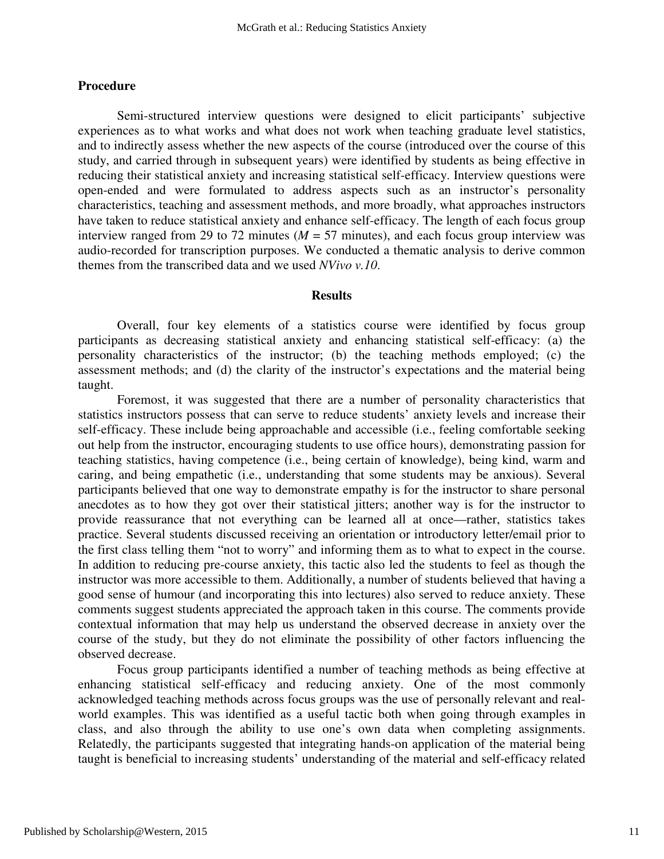#### **Procedure**

Semi-structured interview questions were designed to elicit participants' subjective experiences as to what works and what does not work when teaching graduate level statistics, and to indirectly assess whether the new aspects of the course (introduced over the course of this study, and carried through in subsequent years) were identified by students as being effective in reducing their statistical anxiety and increasing statistical self-efficacy. Interview questions were open-ended and were formulated to address aspects such as an instructor's personality characteristics, teaching and assessment methods, and more broadly, what approaches instructors have taken to reduce statistical anxiety and enhance self-efficacy. The length of each focus group interview ranged from 29 to 72 minutes ( $M = 57$  minutes), and each focus group interview was audio-recorded for transcription purposes. We conducted a thematic analysis to derive common themes from the transcribed data and we used *NVivo v.10*.

#### **Results**

Overall, four key elements of a statistics course were identified by focus group participants as decreasing statistical anxiety and enhancing statistical self-efficacy: (a) the personality characteristics of the instructor; (b) the teaching methods employed; (c) the assessment methods; and (d) the clarity of the instructor's expectations and the material being taught.

Foremost, it was suggested that there are a number of personality characteristics that statistics instructors possess that can serve to reduce students' anxiety levels and increase their self-efficacy. These include being approachable and accessible (i.e., feeling comfortable seeking out help from the instructor, encouraging students to use office hours), demonstrating passion for teaching statistics, having competence (i.e., being certain of knowledge), being kind, warm and caring, and being empathetic (i.e., understanding that some students may be anxious). Several participants believed that one way to demonstrate empathy is for the instructor to share personal anecdotes as to how they got over their statistical jitters; another way is for the instructor to provide reassurance that not everything can be learned all at once—rather, statistics takes practice. Several students discussed receiving an orientation or introductory letter/email prior to the first class telling them "not to worry" and informing them as to what to expect in the course. In addition to reducing pre-course anxiety, this tactic also led the students to feel as though the instructor was more accessible to them. Additionally, a number of students believed that having a good sense of humour (and incorporating this into lectures) also served to reduce anxiety. These comments suggest students appreciated the approach taken in this course. The comments provide contextual information that may help us understand the observed decrease in anxiety over the course of the study, but they do not eliminate the possibility of other factors influencing the observed decrease.

Focus group participants identified a number of teaching methods as being effective at enhancing statistical self-efficacy and reducing anxiety. One of the most commonly acknowledged teaching methods across focus groups was the use of personally relevant and realworld examples. This was identified as a useful tactic both when going through examples in class, and also through the ability to use one's own data when completing assignments. Relatedly, the participants suggested that integrating hands-on application of the material being taught is beneficial to increasing students' understanding of the material and self-efficacy related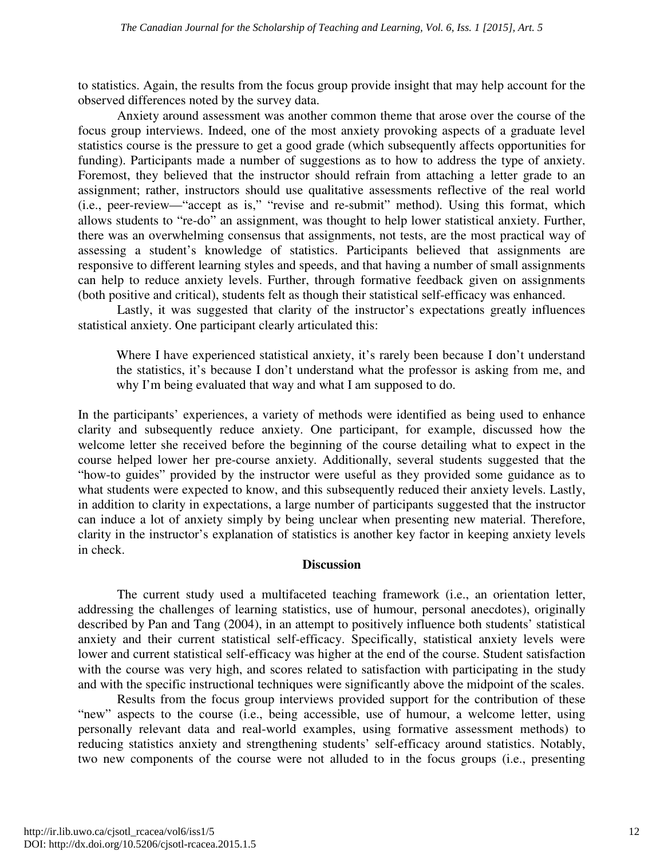to statistics. Again, the results from the focus group provide insight that may help account for the observed differences noted by the survey data.

Anxiety around assessment was another common theme that arose over the course of the focus group interviews. Indeed, one of the most anxiety provoking aspects of a graduate level statistics course is the pressure to get a good grade (which subsequently affects opportunities for funding). Participants made a number of suggestions as to how to address the type of anxiety. Foremost, they believed that the instructor should refrain from attaching a letter grade to an assignment; rather, instructors should use qualitative assessments reflective of the real world (i.e., peer-review—"accept as is," "revise and re-submit" method). Using this format, which allows students to "re-do" an assignment, was thought to help lower statistical anxiety. Further, there was an overwhelming consensus that assignments, not tests, are the most practical way of assessing a student's knowledge of statistics. Participants believed that assignments are responsive to different learning styles and speeds, and that having a number of small assignments can help to reduce anxiety levels. Further, through formative feedback given on assignments (both positive and critical), students felt as though their statistical self-efficacy was enhanced.

Lastly, it was suggested that clarity of the instructor's expectations greatly influences statistical anxiety. One participant clearly articulated this:

Where I have experienced statistical anxiety, it's rarely been because I don't understand the statistics, it's because I don't understand what the professor is asking from me, and why I'm being evaluated that way and what I am supposed to do.

In the participants' experiences, a variety of methods were identified as being used to enhance clarity and subsequently reduce anxiety. One participant, for example, discussed how the welcome letter she received before the beginning of the course detailing what to expect in the course helped lower her pre-course anxiety. Additionally, several students suggested that the "how-to guides" provided by the instructor were useful as they provided some guidance as to what students were expected to know, and this subsequently reduced their anxiety levels. Lastly, in addition to clarity in expectations, a large number of participants suggested that the instructor can induce a lot of anxiety simply by being unclear when presenting new material. Therefore, clarity in the instructor's explanation of statistics is another key factor in keeping anxiety levels in check.

### **Discussion**

The current study used a multifaceted teaching framework (i.e., an orientation letter, addressing the challenges of learning statistics, use of humour, personal anecdotes), originally described by Pan and Tang (2004), in an attempt to positively influence both students' statistical anxiety and their current statistical self-efficacy. Specifically, statistical anxiety levels were lower and current statistical self-efficacy was higher at the end of the course. Student satisfaction with the course was very high, and scores related to satisfaction with participating in the study and with the specific instructional techniques were significantly above the midpoint of the scales.

Results from the focus group interviews provided support for the contribution of these "new" aspects to the course (i.e., being accessible, use of humour, a welcome letter, using personally relevant data and real-world examples, using formative assessment methods) to reducing statistics anxiety and strengthening students' self-efficacy around statistics. Notably, two new components of the course were not alluded to in the focus groups (i.e., presenting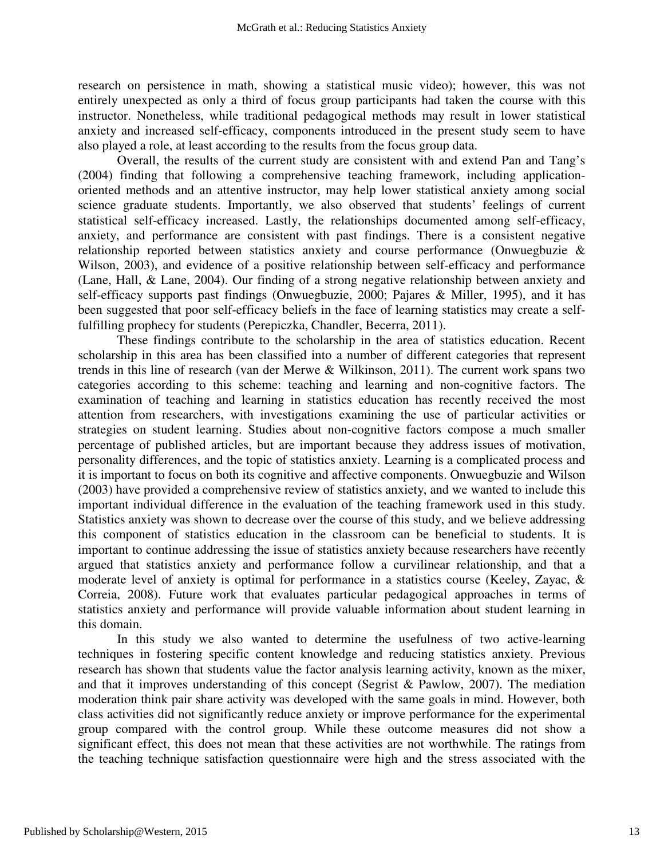research on persistence in math, showing a statistical music video); however, this was not entirely unexpected as only a third of focus group participants had taken the course with this instructor. Nonetheless, while traditional pedagogical methods may result in lower statistical anxiety and increased self-efficacy, components introduced in the present study seem to have also played a role, at least according to the results from the focus group data.

Overall, the results of the current study are consistent with and extend Pan and Tang's (2004) finding that following a comprehensive teaching framework, including applicationoriented methods and an attentive instructor, may help lower statistical anxiety among social science graduate students. Importantly, we also observed that students' feelings of current statistical self-efficacy increased. Lastly, the relationships documented among self-efficacy, anxiety, and performance are consistent with past findings. There is a consistent negative relationship reported between statistics anxiety and course performance (Onwuegbuzie & Wilson, 2003), and evidence of a positive relationship between self-efficacy and performance (Lane, Hall, & Lane, 2004). Our finding of a strong negative relationship between anxiety and self-efficacy supports past findings (Onwuegbuzie, 2000; Pajares & Miller, 1995), and it has been suggested that poor self-efficacy beliefs in the face of learning statistics may create a selffulfilling prophecy for students (Perepiczka, Chandler, Becerra, 2011).

These findings contribute to the scholarship in the area of statistics education. Recent scholarship in this area has been classified into a number of different categories that represent trends in this line of research (van der Merwe & Wilkinson, 2011). The current work spans two categories according to this scheme: teaching and learning and non-cognitive factors. The examination of teaching and learning in statistics education has recently received the most attention from researchers, with investigations examining the use of particular activities or strategies on student learning. Studies about non-cognitive factors compose a much smaller percentage of published articles, but are important because they address issues of motivation, personality differences, and the topic of statistics anxiety. Learning is a complicated process and it is important to focus on both its cognitive and affective components. Onwuegbuzie and Wilson (2003) have provided a comprehensive review of statistics anxiety, and we wanted to include this important individual difference in the evaluation of the teaching framework used in this study. Statistics anxiety was shown to decrease over the course of this study, and we believe addressing this component of statistics education in the classroom can be beneficial to students. It is important to continue addressing the issue of statistics anxiety because researchers have recently argued that statistics anxiety and performance follow a curvilinear relationship, and that a moderate level of anxiety is optimal for performance in a statistics course (Keeley, Zayac, & Correia, 2008). Future work that evaluates particular pedagogical approaches in terms of statistics anxiety and performance will provide valuable information about student learning in this domain.

In this study we also wanted to determine the usefulness of two active-learning techniques in fostering specific content knowledge and reducing statistics anxiety. Previous research has shown that students value the factor analysis learning activity, known as the mixer, and that it improves understanding of this concept (Segrist & Pawlow, 2007). The mediation moderation think pair share activity was developed with the same goals in mind. However, both class activities did not significantly reduce anxiety or improve performance for the experimental group compared with the control group. While these outcome measures did not show a significant effect, this does not mean that these activities are not worthwhile. The ratings from the teaching technique satisfaction questionnaire were high and the stress associated with the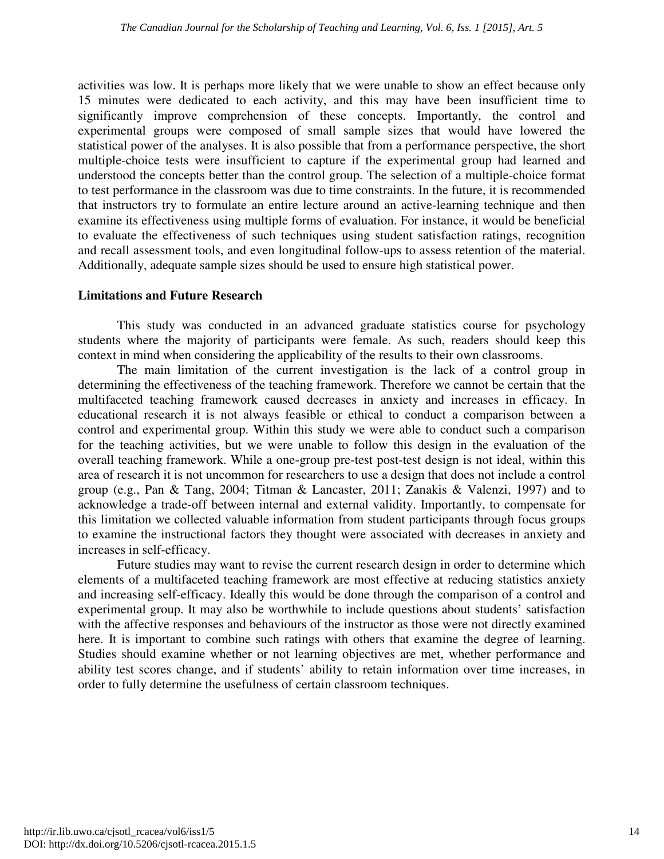activities was low. It is perhaps more likely that we were unable to show an effect because only 15 minutes were dedicated to each activity, and this may have been insufficient time to significantly improve comprehension of these concepts. Importantly, the control and experimental groups were composed of small sample sizes that would have lowered the statistical power of the analyses. It is also possible that from a performance perspective, the short multiple-choice tests were insufficient to capture if the experimental group had learned and understood the concepts better than the control group. The selection of a multiple-choice format to test performance in the classroom was due to time constraints. In the future, it is recommended that instructors try to formulate an entire lecture around an active-learning technique and then examine its effectiveness using multiple forms of evaluation. For instance, it would be beneficial to evaluate the effectiveness of such techniques using student satisfaction ratings, recognition and recall assessment tools, and even longitudinal follow-ups to assess retention of the material. Additionally, adequate sample sizes should be used to ensure high statistical power.

#### **Limitations and Future Research**

This study was conducted in an advanced graduate statistics course for psychology students where the majority of participants were female. As such, readers should keep this context in mind when considering the applicability of the results to their own classrooms.

The main limitation of the current investigation is the lack of a control group in determining the effectiveness of the teaching framework. Therefore we cannot be certain that the multifaceted teaching framework caused decreases in anxiety and increases in efficacy. In educational research it is not always feasible or ethical to conduct a comparison between a control and experimental group. Within this study we were able to conduct such a comparison for the teaching activities, but we were unable to follow this design in the evaluation of the overall teaching framework. While a one-group pre-test post-test design is not ideal, within this area of research it is not uncommon for researchers to use a design that does not include a control group (e.g., Pan & Tang, 2004; Titman & Lancaster, 2011; Zanakis & Valenzi, 1997) and to acknowledge a trade-off between internal and external validity. Importantly, to compensate for this limitation we collected valuable information from student participants through focus groups to examine the instructional factors they thought were associated with decreases in anxiety and increases in self-efficacy.

Future studies may want to revise the current research design in order to determine which elements of a multifaceted teaching framework are most effective at reducing statistics anxiety and increasing self-efficacy. Ideally this would be done through the comparison of a control and experimental group. It may also be worthwhile to include questions about students' satisfaction with the affective responses and behaviours of the instructor as those were not directly examined here. It is important to combine such ratings with others that examine the degree of learning. Studies should examine whether or not learning objectives are met, whether performance and ability test scores change, and if students' ability to retain information over time increases, in order to fully determine the usefulness of certain classroom techniques.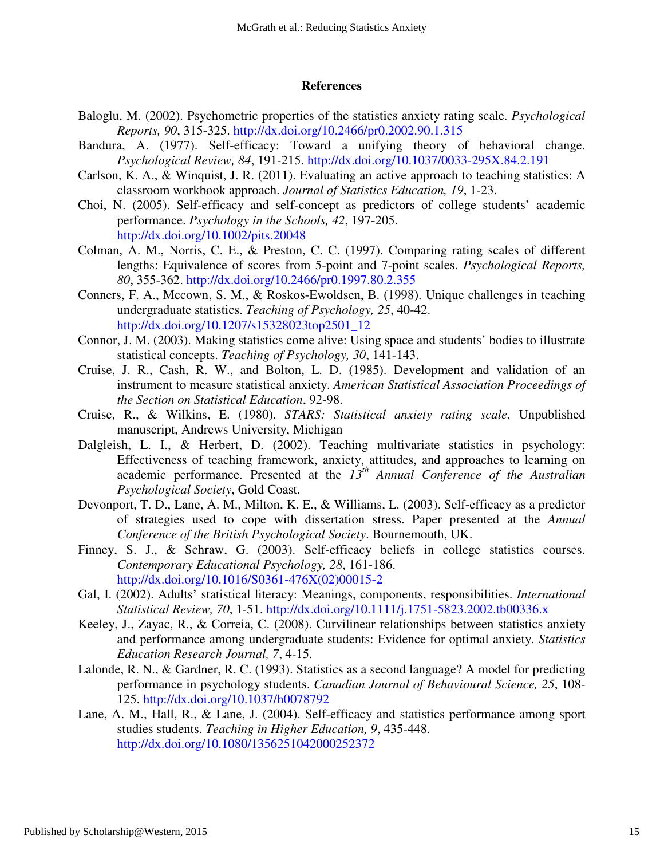#### **References**

- Baloglu, M. (2002). Psychometric properties of the statistics anxiety rating scale. *Psychological Reports, 90*, 315-325. http://dx.doi.org/10.2466/pr0.2002.90.1.315
- Bandura, A. (1977). Self-efficacy: Toward a unifying theory of behavioral change. *Psychological Review, 84*, 191-215. http://dx.doi.org/10.1037/0033-295X.84.2.191
- Carlson, K. A., & Winquist, J. R. (2011). Evaluating an active approach to teaching statistics: A classroom workbook approach. *Journal of Statistics Education, 19*, 1-23.
- Choi, N. (2005). Self-efficacy and self-concept as predictors of college students' academic performance. *Psychology in the Schools, 42*, 197-205. http://dx.doi.org/10.1002/pits.20048
- Colman, A. M., Norris, C. E., & Preston, C. C. (1997). Comparing rating scales of different lengths: Equivalence of scores from 5-point and 7-point scales. *Psychological Reports, 80*, 355-362. http://dx.doi.org/10.2466/pr0.1997.80.2.355
- Conners, F. A., Mccown, S. M., & Roskos-Ewoldsen, B. (1998). Unique challenges in teaching undergraduate statistics. *Teaching of Psychology, 25*, 40-42. http://dx.doi.org/10.1207/s15328023top2501\_12
- Connor, J. M. (2003). Making statistics come alive: Using space and students' bodies to illustrate statistical concepts. *Teaching of Psychology, 30*, 141-143.
- Cruise, J. R., Cash, R. W., and Bolton, L. D. (1985). Development and validation of an instrument to measure statistical anxiety. *American Statistical Association Proceedings of the Section on Statistical Education*, 92-98.
- Cruise, R., & Wilkins, E. (1980). *STARS: Statistical anxiety rating scale*. Unpublished manuscript, Andrews University, Michigan
- Dalgleish, L. I., & Herbert, D. (2002). Teaching multivariate statistics in psychology: Effectiveness of teaching framework, anxiety, attitudes, and approaches to learning on academic performance. Presented at the *13th Annual Conference of the Australian Psychological Society*, Gold Coast.
- Devonport, T. D., Lane, A. M., Milton, K. E., & Williams, L. (2003). Self-efficacy as a predictor of strategies used to cope with dissertation stress. Paper presented at the *Annual Conference of the British Psychological Society*. Bournemouth, UK.
- Finney, S. J., & Schraw, G. (2003). Self-efficacy beliefs in college statistics courses. *Contemporary Educational Psychology, 28*, 161-186. http://dx.doi.org/10.1016/S0361-476X(02)00015-2
- Gal, I. (2002). Adults' statistical literacy: Meanings, components, responsibilities. *International Statistical Review, 70*, 1-51. http://dx.doi.org/10.1111/j.1751-5823.2002.tb00336.x
- Keeley, J., Zayac, R., & Correia, C. (2008). Curvilinear relationships between statistics anxiety and performance among undergraduate students: Evidence for optimal anxiety. *Statistics Education Research Journal, 7*, 4-15.
- Lalonde, R. N., & Gardner, R. C. (1993). Statistics as a second language? A model for predicting performance in psychology students. *Canadian Journal of Behavioural Science, 25*, 108- 125. http://dx.doi.org/10.1037/h0078792
- Lane, A. M., Hall, R., & Lane, J. (2004). Self-efficacy and statistics performance among sport studies students. *Teaching in Higher Education, 9*, 435-448. http://dx.doi.org/10.1080/1356251042000252372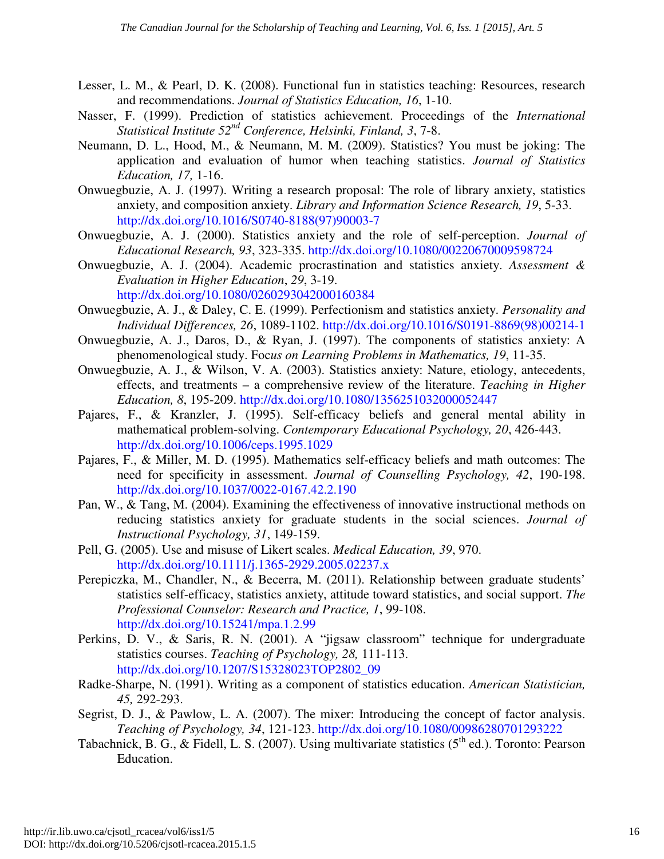- Lesser, L. M., & Pearl, D. K. (2008). Functional fun in statistics teaching: Resources, research and recommendations. *Journal of Statistics Education, 16*, 1-10.
- Nasser, F. (1999). Prediction of statistics achievement. Proceedings of the *International Statistical Institute 52nd Conference, Helsinki, Finland, 3*, 7-8.
- Neumann, D. L., Hood, M., & Neumann, M. M. (2009). Statistics? You must be joking: The application and evaluation of humor when teaching statistics. *Journal of Statistics Education, 17,* 1-16.
- Onwuegbuzie, A. J. (1997). Writing a research proposal: The role of library anxiety, statistics anxiety, and composition anxiety. *Library and Information Science Research, 19*, 5-33. http://dx.doi.org/10.1016/S0740-8188(97)90003-7
- Onwuegbuzie, A. J. (2000). Statistics anxiety and the role of self-perception. *Journal of Educational Research, 93*, 323-335. http://dx.doi.org/10.1080/00220670009598724
- Onwuegbuzie, A. J. (2004). Academic procrastination and statistics anxiety. *Assessment & Evaluation in Higher Education*, *29*, 3-19. http://dx.doi.org/10.1080/0260293042000160384
- Onwuegbuzie, A. J., & Daley, C. E. (1999). Perfectionism and statistics anxiety. *Personality and Individual Differences, 26*, 1089-1102. http://dx.doi.org/10.1016/S0191-8869(98)00214-1
- Onwuegbuzie, A. J., Daros, D., & Ryan, J. (1997). The components of statistics anxiety: A phenomenological study. Foc*us on Learning Problems in Mathematics, 19*, 11-35.
- Onwuegbuzie, A. J., & Wilson, V. A. (2003). Statistics anxiety: Nature, etiology, antecedents, effects, and treatments – a comprehensive review of the literature. *Teaching in Higher Education, 8*, 195-209. http://dx.doi.org/10.1080/1356251032000052447
- Pajares, F., & Kranzler, J. (1995). Self-efficacy beliefs and general mental ability in mathematical problem-solving. *Contemporary Educational Psychology, 20*, 426-443. http://dx.doi.org/10.1006/ceps.1995.1029
- Pajares, F., & Miller, M. D. (1995). Mathematics self-efficacy beliefs and math outcomes: The need for specificity in assessment. *Journal of Counselling Psychology, 42*, 190-198. http://dx.doi.org/10.1037/0022-0167.42.2.190
- Pan, W., & Tang, M. (2004). Examining the effectiveness of innovative instructional methods on reducing statistics anxiety for graduate students in the social sciences. *Journal of Instructional Psychology, 31*, 149-159.
- Pell, G. (2005). Use and misuse of Likert scales. *Medical Education, 39*, 970. http://dx.doi.org/10.1111/j.1365-2929.2005.02237.x
- Perepiczka, M., Chandler, N., & Becerra, M. (2011). Relationship between graduate students' statistics self-efficacy, statistics anxiety, attitude toward statistics, and social support. *The Professional Counselor: Research and Practice, 1*, 99-108. http://dx.doi.org/10.15241/mpa.1.2.99
- Perkins, D. V., & Saris, R. N. (2001). A "jigsaw classroom" technique for undergraduate statistics courses. *Teaching of Psychology, 28,* 111-113. http://dx.doi.org/10.1207/S15328023TOP2802\_09
- Radke-Sharpe, N. (1991). Writing as a component of statistics education. *American Statistician, 45,* 292-293.
- Segrist, D. J., & Pawlow, L. A. (2007). The mixer: Introducing the concept of factor analysis. *Teaching of Psychology, 34*, 121-123. http://dx.doi.org/10.1080/00986280701293222
- Tabachnick, B. G., & Fidell, L. S. (2007). Using multivariate statistics (5<sup>th</sup> ed.). Toronto: Pearson Education.